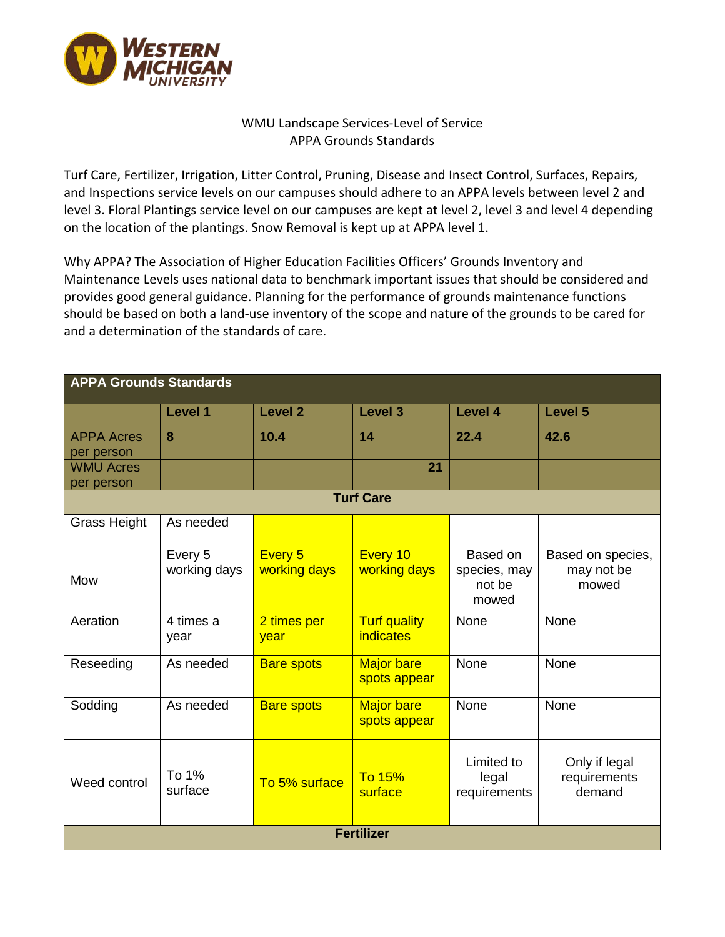

## WMU Landscape Services-Level of Service APPA Grounds Standards

Turf Care, Fertilizer, Irrigation, Litter Control, Pruning, Disease and Insect Control, Surfaces, Repairs, and Inspections service levels on our campuses should adhere to an APPA levels between level 2 and level 3. Floral Plantings service level on our campuses are kept at level 2, level 3 and level 4 depending on the location of the plantings. Snow Removal is kept up at APPA level 1.

Why APPA? The Association of Higher Education Facilities Officers' Grounds Inventory and Maintenance Levels uses national data to benchmark important issues that should be considered and provides good general guidance. Planning for the performance of grounds maintenance functions should be based on both a land-use inventory of the scope and nature of the grounds to be cared for and a determination of the standards of care.

| <b>APPA Grounds Standards</b>   |                         |                         |                                         |                                             |                                          |
|---------------------------------|-------------------------|-------------------------|-----------------------------------------|---------------------------------------------|------------------------------------------|
|                                 | Level 1                 | Level <sub>2</sub>      | Level 3                                 | Level 4                                     | Level 5                                  |
| <b>APPA Acres</b><br>per person | 8                       | 10.4                    | 14                                      | 22.4                                        | 42.6                                     |
| <b>WMU Acres</b><br>per person  |                         |                         | 21                                      |                                             |                                          |
| <b>Turf Care</b>                |                         |                         |                                         |                                             |                                          |
| <b>Grass Height</b>             | As needed               |                         |                                         |                                             |                                          |
| Mow                             | Every 5<br>working days | Every 5<br>working days | Every 10<br>working days                | Based on<br>species, may<br>not be<br>mowed | Based on species,<br>may not be<br>mowed |
| Aeration                        | 4 times a<br>year       | 2 times per<br>year     | <b>Turf quality</b><br><i>indicates</i> | None                                        | None                                     |
| Reseeding                       | As needed               | <b>Bare spots</b>       | <b>Major bare</b><br>spots appear       | None                                        | None                                     |
| Sodding                         | As needed               | <b>Bare spots</b>       | <b>Major bare</b><br>spots appear       | None                                        | None                                     |
| Weed control                    | To 1%<br>surface        | To 5% surface           | <b>To 15%</b><br>surface                | Limited to<br>legal<br>requirements         | Only if legal<br>requirements<br>demand  |
| <b>Fertilizer</b>               |                         |                         |                                         |                                             |                                          |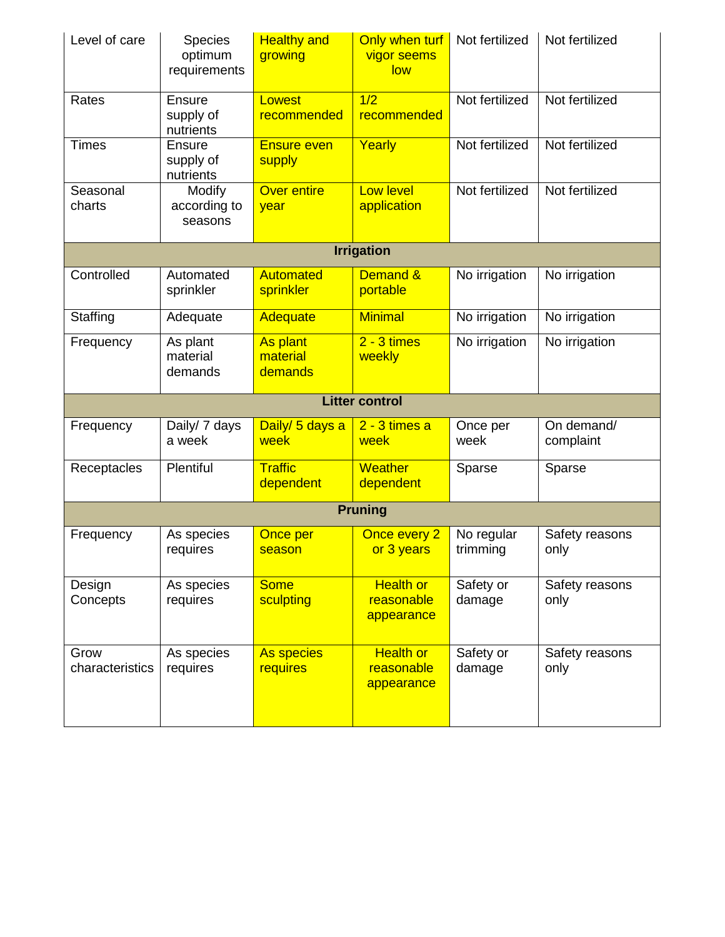| Level of care           | <b>Species</b><br>optimum<br>requirements | <b>Healthy and</b><br>growing          | Only when turf<br>vigor seems<br>low         | Not fertilized         | Not fertilized          |  |
|-------------------------|-------------------------------------------|----------------------------------------|----------------------------------------------|------------------------|-------------------------|--|
| Rates                   | Ensure<br>supply of<br>nutrients          | Lowest<br>recommended                  | 1/2<br>recommended                           | Not fertilized         | Not fertilized          |  |
| <b>Times</b>            | <b>Ensure</b><br>supply of<br>nutrients   | <b>Ensure even</b><br>supply           | Yearly                                       | Not fertilized         | Not fertilized          |  |
| Seasonal<br>charts      | Modify<br>according to<br>seasons         | <b>Over entire</b><br>year             | <b>Low level</b><br>application              | Not fertilized         | Not fertilized          |  |
|                         |                                           |                                        | <b>Irrigation</b>                            |                        |                         |  |
| Controlled              | Automated<br>sprinkler                    | <b>Automated</b><br>sprinkler          | Demand &<br>portable                         | No irrigation          | No irrigation           |  |
| Staffing                | Adequate                                  | <b>Adequate</b>                        | <b>Minimal</b>                               | No irrigation          | No irrigation           |  |
| Frequency               | As plant<br>material<br>demands           | <b>As plant</b><br>material<br>demands | $2 - 3$ times<br>weekly                      | No irrigation          | No irrigation           |  |
| <b>Litter control</b>   |                                           |                                        |                                              |                        |                         |  |
| Frequency               | Daily/ 7 days<br>a week                   | Daily/ 5 days a<br>week                | $2 - 3$ times a<br>week                      | Once per<br>week       | On demand/<br>complaint |  |
| Receptacles             | Plentiful                                 | <b>Traffic</b><br>dependent            | Weather<br>dependent                         | Sparse                 | Sparse                  |  |
| <b>Pruning</b>          |                                           |                                        |                                              |                        |                         |  |
| Frequency               | As species<br>requires                    | Once per<br>season                     | Once every 2<br>or 3 years                   | No regular<br>trimming | Safety reasons<br>only  |  |
| Design<br>Concepts      | As species<br>requires                    | <b>Some</b><br>sculpting               | <b>Health or</b><br>reasonable<br>appearance | Safety or<br>damage    | Safety reasons<br>only  |  |
| Grow<br>characteristics | As species<br>requires                    | As species<br>requires                 | <b>Health or</b><br>reasonable<br>appearance | Safety or<br>damage    | Safety reasons<br>only  |  |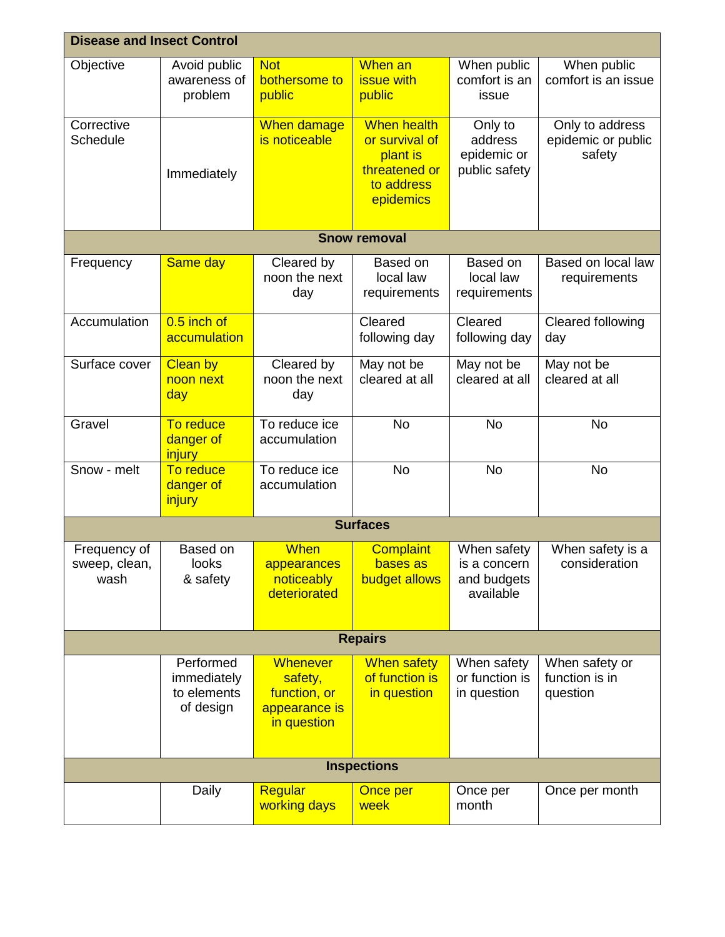| <b>Disease and Insect Control</b>     |                                                      |                                                                            |                                                                                              |                                                         |                                                 |  |
|---------------------------------------|------------------------------------------------------|----------------------------------------------------------------------------|----------------------------------------------------------------------------------------------|---------------------------------------------------------|-------------------------------------------------|--|
| Objective                             | Avoid public<br>awareness of<br>problem              | <b>Not</b><br>bothersome to<br>public                                      | When an<br><b>issue with</b><br>public                                                       | When public<br>comfort is an<br>issue                   | When public<br>comfort is an issue              |  |
| Corrective<br>Schedule                | Immediately                                          | When damage<br>is noticeable                                               | <b>When health</b><br>or survival of<br>plant is<br>threatened or<br>to address<br>epidemics | Only to<br>address<br>epidemic or<br>public safety      | Only to address<br>epidemic or public<br>safety |  |
|                                       |                                                      |                                                                            | <b>Snow removal</b>                                                                          |                                                         |                                                 |  |
| Frequency                             | Same day                                             | Cleared by<br>noon the next<br>day                                         | Based on<br>local law<br>requirements                                                        | Based on<br>local law<br>requirements                   | Based on local law<br>requirements              |  |
| Accumulation                          | 0.5 inch of<br>accumulation                          |                                                                            | Cleared<br>following day                                                                     | Cleared<br>following day                                | Cleared following<br>day                        |  |
| Surface cover                         | <b>Clean by</b><br>noon next<br>day                  | Cleared by<br>noon the next<br>day                                         | May not be<br>cleared at all                                                                 | May not be<br>cleared at all                            | May not be<br>cleared at all                    |  |
| Gravel                                | To reduce<br>danger of<br><i>injury</i>              | To reduce ice<br>accumulation                                              | <b>No</b>                                                                                    | <b>No</b>                                               | <b>No</b>                                       |  |
| Snow - melt                           | To reduce<br>danger of<br>injury                     | To reduce ice<br>accumulation                                              | <b>No</b>                                                                                    | <b>No</b>                                               | <b>No</b>                                       |  |
| <b>Surfaces</b>                       |                                                      |                                                                            |                                                                                              |                                                         |                                                 |  |
| Frequency of<br>sweep, clean,<br>wash | Based on<br>looks<br>& safety                        | <b>When</b><br>appearances<br>noticeably<br>deteriorated                   | <b>Complaint</b><br>bases as<br>budget allows                                                | When safety<br>is a concern<br>and budgets<br>available | When safety is a<br>consideration               |  |
| <b>Repairs</b>                        |                                                      |                                                                            |                                                                                              |                                                         |                                                 |  |
|                                       | Performed<br>immediately<br>to elements<br>of design | <b>Whenever</b><br>safety,<br>function, or<br>appearance is<br>in question | <b>When safety</b><br>of function is<br>in question                                          | When safety<br>or function is<br>in question            | When safety or<br>function is in<br>question    |  |
| <b>Inspections</b>                    |                                                      |                                                                            |                                                                                              |                                                         |                                                 |  |
|                                       | Daily                                                | Regular<br>working days                                                    | Once per<br>week                                                                             | Once per<br>month                                       | Once per month                                  |  |